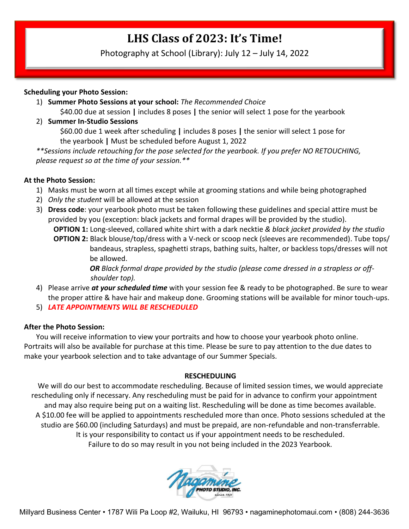## **LHS Class of 2023: It's Time!**

Photography at School (Library): July 12 – July 14, 2022

#### **Scheduling your Photo Session:**

1) **Summer Photo Sessions at your school:** *The Recommended Choice*

\$40.00 due at session **|** includes 8 poses **|** the senior will select 1 pose for the yearbook

2) **Summer In-Studio Sessions**

\$60.00 due 1 week after scheduling **|** includes 8 poses **|** the senior will select 1 pose for the yearbook **|** Must be scheduled before August 1, 2022

*\*\*Sessions include retouching for the pose selected for the yearbook. If you prefer NO RETOUCHING, please request so at the time of your session.\*\**

#### **At the Photo Session:**

- 1) Masks must be worn at all times except while at grooming stations and while being photographed
- 2) *Only the student* will be allowed at the session
- 3) **Dress code**: your yearbook photo must be taken following these guidelines and special attire must be provided by you (exception: black jackets and formal drapes will be provided by the studio).  **OPTION 1:** Long-sleeved, collared white shirt with a dark necktie *& black jacket provided by the studio*  **OPTION 2:** Black blouse/top/dress with a V-neck or scoop neck (sleeves are recommended). Tube tops/ bandeaus, strapless, spaghetti straps, bathing suits, halter, or backless tops/dresses will not be allowed.

*OR Black formal drape provided by the studio (please come dressed in a strapless or off shoulder top).*

- 4) Please arrive *at your scheduled time* with your session fee & ready to be photographed. Be sure to wear the proper attire & have hair and makeup done. Grooming stations will be available for minor touch-ups.
- 5) *LATE APPOINTMENTS WILL BE RESCHEDULED*

#### **After the Photo Session:**

You will receive information to view your portraits and how to choose your yearbook photo online. Portraits will also be available for purchase at this time. Please be sure to pay attention to the due dates to make your yearbook selection and to take advantage of our Summer Specials.

#### **RESCHEDULING**

We will do our best to accommodate rescheduling. Because of limited session times, we would appreciate rescheduling only if necessary. Any rescheduling must be paid for in advance to confirm your appointment and may also require being put on a waiting list. Rescheduling will be done as time becomes available. A \$10.00 fee will be applied to appointments rescheduled more than once. Photo sessions scheduled at the studio are \$60.00 (including Saturdays) and must be prepaid, are non-refundable and non-transferrable. It is your responsibility to contact us if your appointment needs to be rescheduled. Failure to do so may result in you not being included in the 2023 Yearbook.